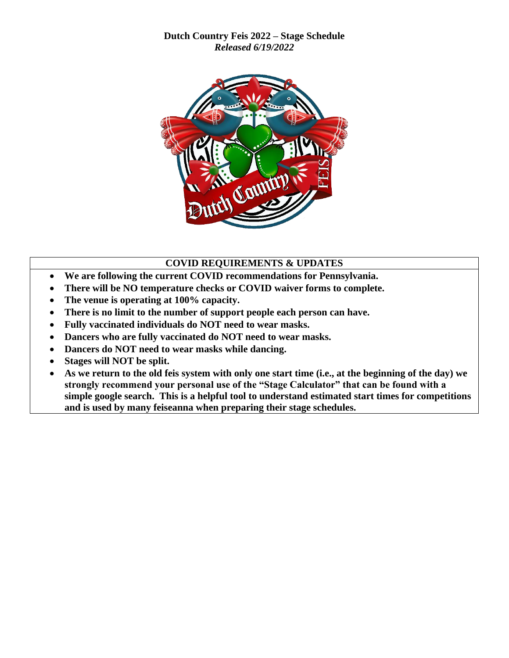**Dutch Country Feis 2022 – Stage Schedule** *Released 6/19/2022*



## **COVID REQUIREMENTS & UPDATES**

- **We are following the current COVID recommendations for Pennsylvania.**
- **There will be NO temperature checks or COVID waiver forms to complete.**
- **The venue is operating at 100% capacity.**
- **There is no limit to the number of support people each person can have.**
- **Fully vaccinated individuals do NOT need to wear masks.**
- **Dancers who are fully vaccinated do NOT need to wear masks.**
- **Dancers do NOT need to wear masks while dancing.**
- **Stages will NOT be split.**
- **As we return to the old feis system with only one start time (i.e., at the beginning of the day) we strongly recommend your personal use of the "Stage Calculator" that can be found with a simple google search. This is a helpful tool to understand estimated start times for competitions and is used by many feiseanna when preparing their stage schedules.**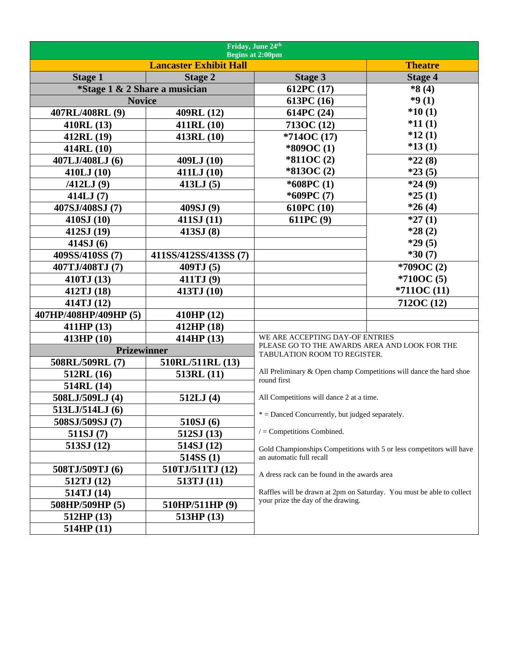| Friday, June 24th<br><b>Begins at 2:00pm</b> |                       |                                                                                                             |                |  |
|----------------------------------------------|-----------------------|-------------------------------------------------------------------------------------------------------------|----------------|--|
| <b>Lancaster Exhibit Hall</b>                |                       |                                                                                                             | <b>Theatre</b> |  |
| <b>Stage 1</b>                               | <b>Stage 2</b>        | <b>Stage 3</b>                                                                                              | <b>Stage 4</b> |  |
| *Stage 1 & 2 Share a musician                |                       | 612PC (17)                                                                                                  | $*8(4)$        |  |
| <b>Novice</b>                                |                       | 613PC (16)                                                                                                  | $*9(1)$        |  |
| 407RL/408RL (9)                              | 409RL (12)            | 614PC (24)                                                                                                  | $*10(1)$       |  |
| 410RL (13)                                   | 411RL (10)            | 713OC (12)                                                                                                  | $*11(1)$       |  |
| 412RL (19)                                   | 413RL (10)            | $*714OC(17)$                                                                                                | $*12(1)$       |  |
| 414RL (10)                                   |                       | *809OC(1)                                                                                                   | $*13(1)$       |  |
| 407LJ/408LJ (6)                              | 409LJ (10)            | $*811OC(2)$                                                                                                 | $*22(8)$       |  |
| 410LJ(10)                                    | 411LJ (10)            | $*813OC(2)$                                                                                                 | $*23(5)$       |  |
| /412LJ(9)                                    | 413LJ(5)              | $*608PC(1)$                                                                                                 | $*24(9)$       |  |
| 414LJ(7)                                     |                       | $*609PC(7)$                                                                                                 | $*25(1)$       |  |
| 407SJ/408SJ (7)                              | 409SJ (9)             | 610PC(10)                                                                                                   | $*26(4)$       |  |
| 410SJ(10)                                    | 411SJ(11)             | 611PC(9)                                                                                                    | $*27(1)$       |  |
| 412SJ (19)                                   | 413SJ(8)              |                                                                                                             | $*28(2)$       |  |
| 414SJ(6)                                     |                       |                                                                                                             | $*29(5)$       |  |
| 409SS/410SS (7)                              | 411SS/412SS/413SS (7) |                                                                                                             | $*30(7)$       |  |
| 407TJ/408TJ (7)                              | 409TJ (5)             |                                                                                                             | *709OC(2)      |  |
| 410TJ (13)                                   | 411TJ (9)             |                                                                                                             | $*710OC(5)$    |  |
| 412TJ (18)                                   | 413TJ (10)            |                                                                                                             | $*7110C(11)$   |  |
| 414TJ (12)                                   |                       |                                                                                                             | 712OC (12)     |  |
| 407HP/408HP/409HP (5)                        | 410HP (12)            |                                                                                                             |                |  |
| 411HP (13)                                   | 412HP (18)            |                                                                                                             |                |  |
| 413HP (10)                                   | 414HP(13)             | WE ARE ACCEPTING DAY-OF ENTRIES                                                                             |                |  |
| <b>Prizewinner</b>                           |                       | PLEASE GO TO THE AWARDS AREA AND LOOK FOR THE<br>TABULATION ROOM TO REGISTER.                               |                |  |
| 508RL/509RL (7)                              | 510RL/511RL (13)      |                                                                                                             |                |  |
| 512RL (16)                                   | 513RL(11)             | All Preliminary & Open champ Competitions will dance the hard shoe<br>round first                           |                |  |
| 514RL (14)                                   |                       |                                                                                                             |                |  |
| 508LJ/509LJ (4)                              | 512LJ(4)              | All Competitions will dance 2 at a time.                                                                    |                |  |
| 513LJ/514LJ (6)                              |                       | $*$ = Danced Concurrently, but judged separately.                                                           |                |  |
| 508SJ/509SJ (7)                              | 510SJ(6)              |                                                                                                             |                |  |
| 511SJ(7)                                     | 512SJ (13)            | $/$ = Competitions Combined.                                                                                |                |  |
| 513SJ(12)                                    | 514SJ (12)            | Gold Championships Competitions with 5 or less competitors will have                                        |                |  |
|                                              | 514SS(1)              | an automatic full recall                                                                                    |                |  |
| 508TJ/509TJ (6)                              | 510TJ/511TJ (12)      | A dress rack can be found in the awards area                                                                |                |  |
| 512TJ (12)                                   | 513TJ (11)            |                                                                                                             |                |  |
| 514TJ (14)                                   |                       | Raffles will be drawn at 2pm on Saturday. You must be able to collect<br>your prize the day of the drawing. |                |  |
| 508HP/509HP (5)                              | 510HP/511HP(9)        |                                                                                                             |                |  |
| 512HP(13)                                    | 513HP(13)             |                                                                                                             |                |  |
| 514HP(11)                                    |                       |                                                                                                             |                |  |